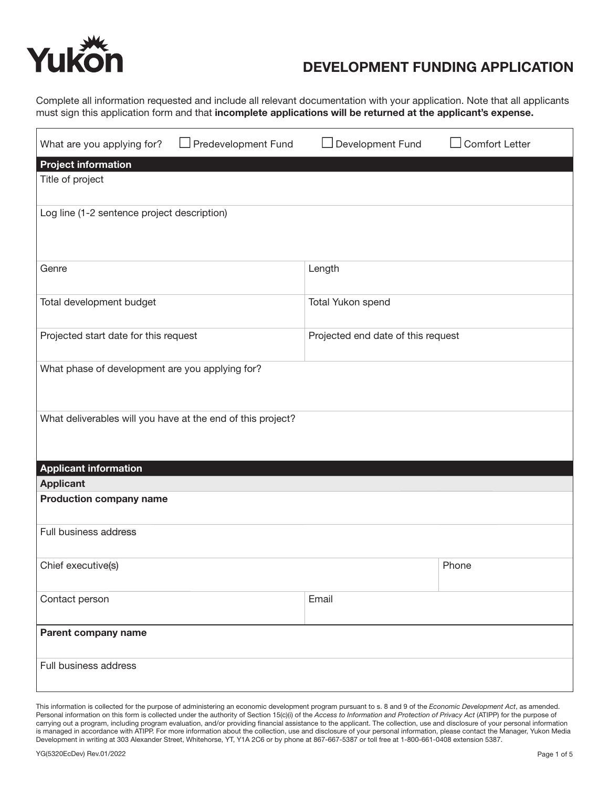

## DEVELOPMENT FUNDING APPLICATION

Complete all information requested and include all relevant documentation with your application. Note that all applicants must sign this application form and that incomplete applications will be returned at the applicant's expense.

| Title of project<br>Log line (1-2 sentence project description)             | Predevelopment Fund<br>What are you applying for? | Development Fund | <b>Comfort Letter</b> |  |
|-----------------------------------------------------------------------------|---------------------------------------------------|------------------|-----------------------|--|
|                                                                             | <b>Project information</b>                        |                  |                       |  |
|                                                                             |                                                   |                  |                       |  |
|                                                                             |                                                   |                  |                       |  |
|                                                                             |                                                   |                  |                       |  |
|                                                                             |                                                   |                  |                       |  |
|                                                                             | Genre                                             | Length           |                       |  |
|                                                                             |                                                   |                  |                       |  |
| Total development budget<br>Total Yukon spend                               |                                                   |                  |                       |  |
|                                                                             |                                                   |                  |                       |  |
| Projected start date for this request<br>Projected end date of this request |                                                   |                  |                       |  |
|                                                                             |                                                   |                  |                       |  |
| What phase of development are you applying for?                             |                                                   |                  |                       |  |
|                                                                             |                                                   |                  |                       |  |
|                                                                             |                                                   |                  |                       |  |
| What deliverables will you have at the end of this project?                 |                                                   |                  |                       |  |
|                                                                             |                                                   |                  |                       |  |
|                                                                             |                                                   |                  |                       |  |
|                                                                             | <b>Applicant information</b>                      |                  |                       |  |
| <b>Applicant</b>                                                            |                                                   |                  |                       |  |
| <b>Production company name</b>                                              |                                                   |                  |                       |  |
|                                                                             |                                                   |                  |                       |  |
| Full business address                                                       |                                                   |                  |                       |  |
|                                                                             |                                                   |                  |                       |  |
| Phone<br>Chief executive(s)                                                 |                                                   |                  |                       |  |
| Email                                                                       |                                                   |                  |                       |  |
| Contact person                                                              |                                                   |                  |                       |  |
| Parent company name                                                         |                                                   |                  |                       |  |
|                                                                             |                                                   |                  |                       |  |
| Full business address                                                       |                                                   |                  |                       |  |
|                                                                             |                                                   |                  |                       |  |

This information is collected for the purpose of administering an economic development program pursuant to s. 8 and 9 of the *Economic Development Act*, as amended. Personal information on this form is collected under the authority of Section 15(c)(i) of the *Access to Information and Protection of Privacy Act* (ATIPP) for the purpose of carrying out a program, including program evaluation, and/or providing financial assistance to the applicant. The collection, use and disclosure of your personal information is managed in accordance with ATIPP. For more information about the collection, use and disclosure of your personal information, please contact the Manager, Yukon Media Development in writing at 303 Alexander Street, Whitehorse, YT, Y1A 2C6 or by phone at 867-667-5387 or toll free at 1-800-661-0408 extension 5387.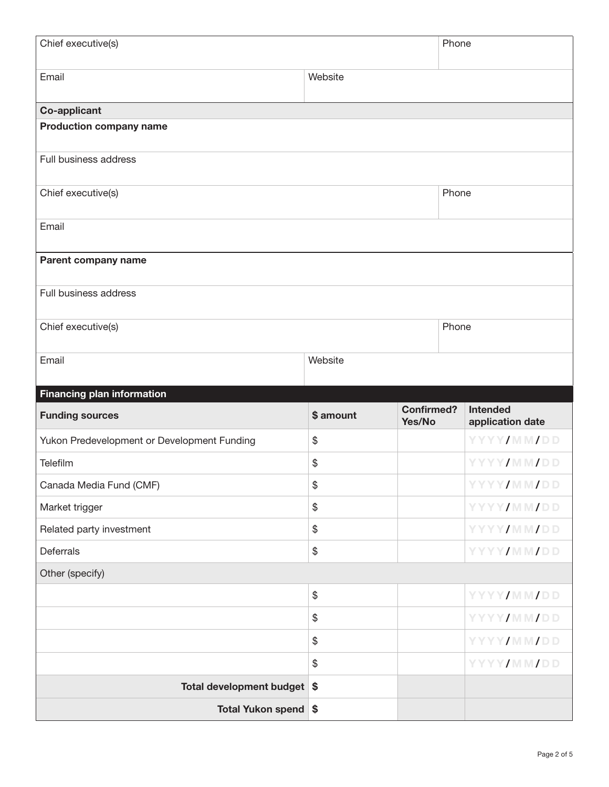| Chief executive(s)                          |                   |                             | Phone |                                     |
|---------------------------------------------|-------------------|-----------------------------|-------|-------------------------------------|
| Email                                       | Website           |                             |       |                                     |
| Co-applicant                                |                   |                             |       |                                     |
| <b>Production company name</b>              |                   |                             |       |                                     |
| Full business address                       |                   |                             |       |                                     |
| Chief executive(s)                          |                   |                             | Phone |                                     |
| Email                                       |                   |                             |       |                                     |
| Parent company name                         |                   |                             |       |                                     |
| Full business address                       |                   |                             |       |                                     |
| Chief executive(s)                          |                   |                             | Phone |                                     |
| Email                                       | Website           |                             |       |                                     |
|                                             |                   |                             |       |                                     |
| <b>Financing plan information</b>           |                   |                             |       |                                     |
| <b>Funding sources</b>                      | \$ amount         | <b>Confirmed?</b><br>Yes/No |       | <b>Intended</b><br>application date |
| Yukon Predevelopment or Development Funding | \$                |                             |       | YYYY/MM/DD                          |
| Telefilm                                    | \$                |                             |       | <b>YYYY/MM/DD</b>                   |
| Canada Media Fund (CMF)                     | \$                |                             |       | YYYY/MM/DD                          |
| Market trigger                              | $\boldsymbol{\$}$ |                             |       | YYYY/MM/DD                          |
| Related party investment                    | $\$\$             |                             |       | YYYY/MM/DD                          |
| Deferrals                                   | \$                |                             |       | YYYY/MM/DD                          |
| Other (specify)                             |                   |                             |       |                                     |
|                                             | $\$\$             |                             |       | YYYY/MM/DD                          |
|                                             | \$                |                             |       | YYYY/MM/DD                          |
|                                             | \$                |                             |       | YYYY/MM/DD                          |
|                                             | $\frac{1}{2}$     |                             |       | YYYY/MM/DD                          |
| Total development budget                    | \$                |                             |       |                                     |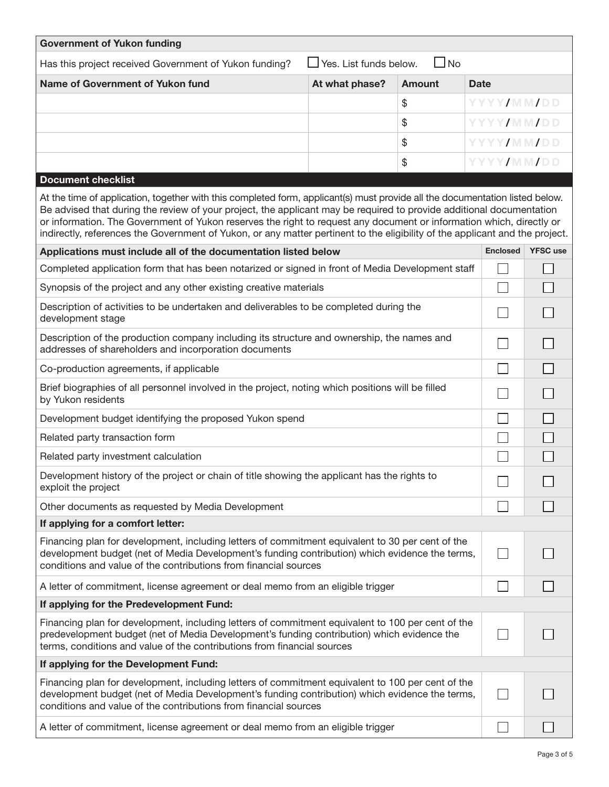| <b>Government of Yukon funding</b>                                                                                                                                                                                                                                                                                                                                                                                                                                                                           |                               |               |                   |                 |
|--------------------------------------------------------------------------------------------------------------------------------------------------------------------------------------------------------------------------------------------------------------------------------------------------------------------------------------------------------------------------------------------------------------------------------------------------------------------------------------------------------------|-------------------------------|---------------|-------------------|-----------------|
| Has this project received Government of Yukon funding?                                                                                                                                                                                                                                                                                                                                                                                                                                                       | $\Box$ Yes. List funds below. | $\Box$ No     |                   |                 |
| Name of Government of Yukon fund                                                                                                                                                                                                                                                                                                                                                                                                                                                                             | At what phase?                | <b>Amount</b> | <b>Date</b>       |                 |
|                                                                                                                                                                                                                                                                                                                                                                                                                                                                                                              |                               | \$            | YYYY/MM/DD        |                 |
|                                                                                                                                                                                                                                                                                                                                                                                                                                                                                                              |                               | \$            | YYYY/MM/DD        |                 |
|                                                                                                                                                                                                                                                                                                                                                                                                                                                                                                              |                               | \$            | <b>YYYY/MM/DD</b> |                 |
|                                                                                                                                                                                                                                                                                                                                                                                                                                                                                                              |                               | \$            | YYYY/MM/DD        |                 |
| <b>Document checklist</b>                                                                                                                                                                                                                                                                                                                                                                                                                                                                                    |                               |               |                   |                 |
| At the time of application, together with this completed form, applicant(s) must provide all the documentation listed below.<br>Be advised that during the review of your project, the applicant may be required to provide additional documentation<br>or information. The Government of Yukon reserves the right to request any document or information which, directly or<br>indirectly, references the Government of Yukon, or any matter pertinent to the eligibility of the applicant and the project. |                               |               |                   |                 |
| Applications must include all of the documentation listed below                                                                                                                                                                                                                                                                                                                                                                                                                                              |                               |               | <b>Enclosed</b>   | <b>YFSC</b> use |
| Completed application form that has been notarized or signed in front of Media Development staff                                                                                                                                                                                                                                                                                                                                                                                                             |                               |               |                   |                 |
| Synopsis of the project and any other existing creative materials                                                                                                                                                                                                                                                                                                                                                                                                                                            |                               |               |                   |                 |
| Description of activities to be undertaken and deliverables to be completed during the<br>development stage                                                                                                                                                                                                                                                                                                                                                                                                  |                               |               |                   |                 |
| Description of the production company including its structure and ownership, the names and<br>addresses of shareholders and incorporation documents                                                                                                                                                                                                                                                                                                                                                          |                               |               |                   |                 |
| Co-production agreements, if applicable                                                                                                                                                                                                                                                                                                                                                                                                                                                                      |                               |               |                   |                 |
| Brief biographies of all personnel involved in the project, noting which positions will be filled<br>by Yukon residents                                                                                                                                                                                                                                                                                                                                                                                      |                               |               |                   |                 |
| Development budget identifying the proposed Yukon spend                                                                                                                                                                                                                                                                                                                                                                                                                                                      |                               |               |                   |                 |
| Related party transaction form                                                                                                                                                                                                                                                                                                                                                                                                                                                                               |                               |               |                   |                 |
| Related party investment calculation                                                                                                                                                                                                                                                                                                                                                                                                                                                                         |                               |               |                   |                 |
| Development history of the project or chain of title showing the applicant has the rights to<br>exploit the project                                                                                                                                                                                                                                                                                                                                                                                          |                               |               |                   |                 |
| Other documents as requested by Media Development                                                                                                                                                                                                                                                                                                                                                                                                                                                            |                               |               |                   |                 |
| If applying for a comfort letter:                                                                                                                                                                                                                                                                                                                                                                                                                                                                            |                               |               |                   |                 |
| Financing plan for development, including letters of commitment equivalent to 30 per cent of the<br>development budget (net of Media Development's funding contribution) which evidence the terms,<br>conditions and value of the contributions from financial sources                                                                                                                                                                                                                                       |                               |               | $\mathsf{L}$      |                 |
| A letter of commitment, license agreement or deal memo from an eligible trigger                                                                                                                                                                                                                                                                                                                                                                                                                              |                               |               |                   |                 |
| If applying for the Predevelopment Fund:                                                                                                                                                                                                                                                                                                                                                                                                                                                                     |                               |               |                   |                 |
| Financing plan for development, including letters of commitment equivalent to 100 per cent of the<br>predevelopment budget (net of Media Development's funding contribution) which evidence the<br>terms, conditions and value of the contributions from financial sources                                                                                                                                                                                                                                   |                               |               |                   |                 |
| If applying for the Development Fund:                                                                                                                                                                                                                                                                                                                                                                                                                                                                        |                               |               |                   |                 |
| Financing plan for development, including letters of commitment equivalent to 100 per cent of the<br>development budget (net of Media Development's funding contribution) which evidence the terms,<br>conditions and value of the contributions from financial sources                                                                                                                                                                                                                                      |                               |               |                   |                 |
| A letter of commitment, license agreement or deal memo from an eligible trigger                                                                                                                                                                                                                                                                                                                                                                                                                              |                               |               |                   |                 |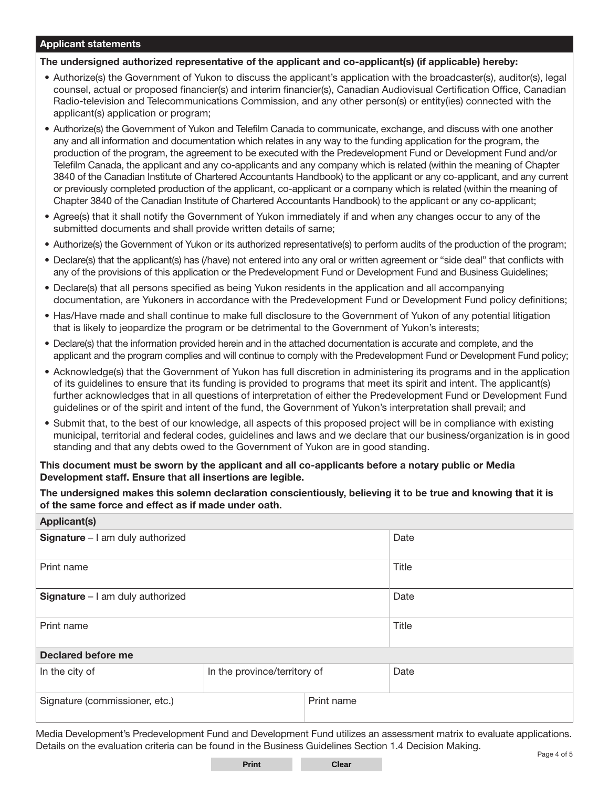## Applicant statements

The undersigned authorized representative of the applicant and co-applicant(s) (if applicable) hereby:

- Authorize(s) the Government of Yukon to discuss the applicant's application with the broadcaster(s), auditor(s), legal counsel, actual or proposed financier(s) and interim financier(s), Canadian Audiovisual Certification Office, Canadian Radio-television and Telecommunications Commission, and any other person(s) or entity(ies) connected with the applicant(s) application or program;
- Authorize(s) the Government of Yukon and Telefilm Canada to communicate, exchange, and discuss with one another any and all information and documentation which relates in any way to the funding application for the program, the production of the program, the agreement to be executed with the Predevelopment Fund or Development Fund and/or Telefilm Canada, the applicant and any co-applicants and any company which is related (within the meaning of Chapter 3840 of the Canadian Institute of Chartered Accountants Handbook) to the applicant or any co-applicant, and any current or previously completed production of the applicant, co-applicant or a company which is related (within the meaning of Chapter 3840 of the Canadian Institute of Chartered Accountants Handbook) to the applicant or any co-applicant;
- Agree(s) that it shall notify the Government of Yukon immediately if and when any changes occur to any of the submitted documents and shall provide written details of same;
- Authorize(s) the Government of Yukon or its authorized representative(s) to perform audits of the production of the program;
- Declare(s) that the applicant(s) has (/have) not entered into any oral or written agreement or "side deal" that conflicts with any of the provisions of this application or the Predevelopment Fund or Development Fund and Business Guidelines;
- Declare(s) that all persons specified as being Yukon residents in the application and all accompanying documentation, are Yukoners in accordance with the Predevelopment Fund or Development Fund policy definitions;
- Has/Have made and shall continue to make full disclosure to the Government of Yukon of any potential litigation that is likely to jeopardize the program or be detrimental to the Government of Yukon's interests;
- Declare(s) that the information provided herein and in the attached documentation is accurate and complete, and the applicant and the program complies and will continue to comply with the Predevelopment Fund or Development Fund policy;
- Acknowledge(s) that the Government of Yukon has full discretion in administering its programs and in the application of its guidelines to ensure that its funding is provided to programs that meet its spirit and intent. The applicant(s) further acknowledges that in all questions of interpretation of either the Predevelopment Fund or Development Fund guidelines or of the spirit and intent of the fund, the Government of Yukon's interpretation shall prevail; and
- Submit that, to the best of our knowledge, all aspects of this proposed project will be in compliance with existing municipal, territorial and federal codes, guidelines and laws and we declare that our business/organization is in good standing and that any debts owed to the Government of Yukon are in good standing.

This document must be sworn by the applicant and all co-applicants before a notary public or Media Development staff. Ensure that all insertions are legible.

The undersigned makes this solemn declaration conscientiously, believing it to be true and knowing that it is of the same force and effect as if made under oath.

| <b>Applicant(s)</b>              |                              |            |       |
|----------------------------------|------------------------------|------------|-------|
| Signature - I am duly authorized |                              |            | Date  |
| Print name                       |                              |            | Title |
| Signature - I am duly authorized |                              |            | Date  |
| Print name                       |                              |            | Title |
| <b>Declared before me</b>        |                              |            |       |
| In the city of                   | In the province/territory of |            | Date  |
| Signature (commissioner, etc.)   |                              | Print name |       |

Media Development's Predevelopment Fund and Development Fund utilizes an assessment matrix to evaluate applications. Details on the evaluation criteria can be found in the Business Guidelines Section 1.4 Decision Making.

**Print Clear**